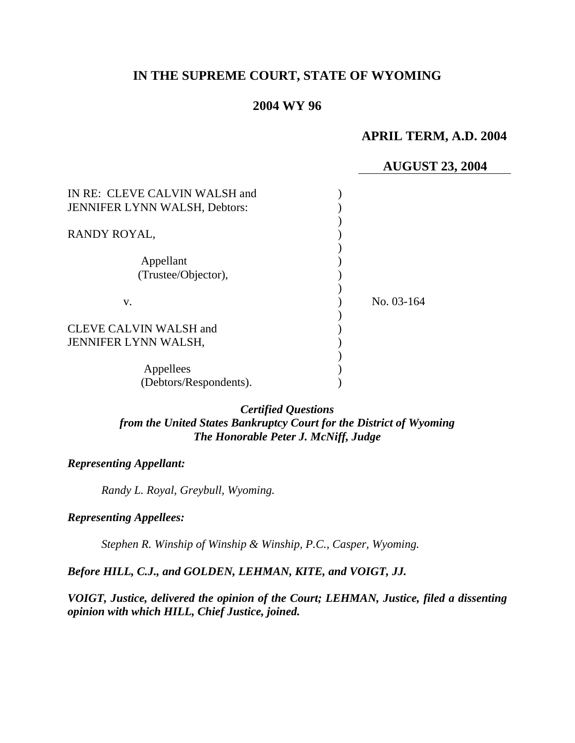# **IN THE SUPREME COURT, STATE OF WYOMING**

### **2004 WY 96**

# **APRIL TERM, A.D. 2004**

## **AUGUST 23, 2004**

| IN RE: CLEVE CALVIN WALSH and<br><b>JENNIFER LYNN WALSH, Debtors:</b> |            |
|-----------------------------------------------------------------------|------------|
| RANDY ROYAL,                                                          |            |
| Appellant<br>(Trustee/Objector),                                      |            |
| v.                                                                    | No. 03-164 |
| CLEVE CALVIN WALSH and<br>JENNIFER LYNN WALSH,                        |            |
| Appellees<br>(Debtors/Respondents).                                   |            |

### *Certified Questions from the United States Bankruptcy Court for the District of Wyoming The Honorable Peter J. McNiff, Judge*

#### *Representing Appellant:*

*Randy L. Royal, Greybull, Wyoming.* 

#### *Representing Appellees:*

*Stephen R. Winship of Winship & Winship, P.C., Casper, Wyoming.* 

## *Before HILL, C.J., and GOLDEN, LEHMAN, KITE, and VOIGT, JJ.*

*VOIGT, Justice, delivered the opinion of the Court; LEHMAN, Justice, filed a dissenting opinion with which HILL, Chief Justice, joined.*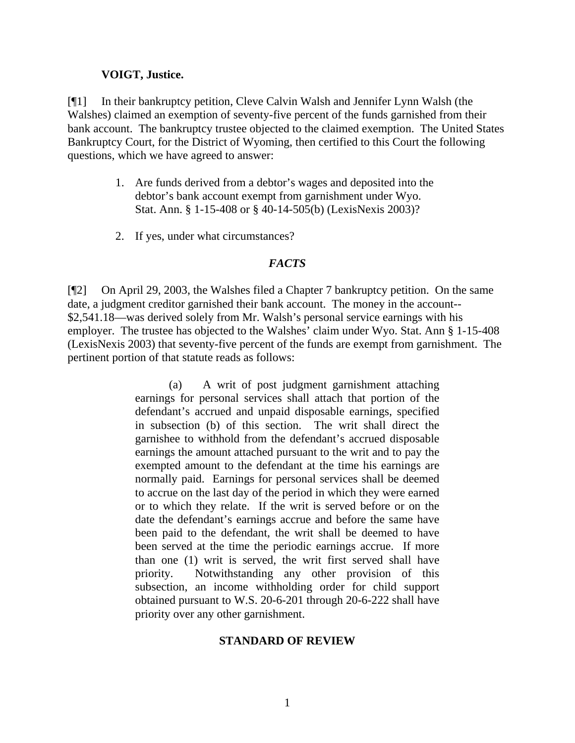#### **VOIGT, Justice.**

[¶1] In their bankruptcy petition, Cleve Calvin Walsh and Jennifer Lynn Walsh (the Walshes) claimed an exemption of seventy-five percent of the funds garnished from their bank account. The bankruptcy trustee objected to the claimed exemption. The United States Bankruptcy Court, for the District of Wyoming, then certified to this Court the following questions, which we have agreed to answer:

- 1. Are funds derived from a debtor's wages and deposited into the debtor's bank account exempt from garnishment under Wyo. Stat. Ann. § 1-15-408 or § 40-14-505(b) (LexisNexis 2003)?
- 2. If yes, under what circumstances?

#### *FACTS*

[¶2] On April 29, 2003, the Walshes filed a Chapter 7 bankruptcy petition. On the same date, a judgment creditor garnished their bank account. The money in the account-- \$2,541.18—was derived solely from Mr. Walsh's personal service earnings with his employer. The trustee has objected to the Walshes' claim under Wyo. Stat. Ann § 1-15-408 (LexisNexis 2003) that seventy-five percent of the funds are exempt from garnishment. The pertinent portion of that statute reads as follows:

> (a) A writ of post judgment garnishment attaching earnings for personal services shall attach that portion of the defendant's accrued and unpaid disposable earnings, specified in subsection (b) of this section. The writ shall direct the garnishee to withhold from the defendant's accrued disposable earnings the amount attached pursuant to the writ and to pay the exempted amount to the defendant at the time his earnings are normally paid. Earnings for personal services shall be deemed to accrue on the last day of the period in which they were earned or to which they relate. If the writ is served before or on the date the defendant's earnings accrue and before the same have been paid to the defendant, the writ shall be deemed to have been served at the time the periodic earnings accrue. If more than one (1) writ is served, the writ first served shall have priority. Notwithstanding any other provision of this subsection, an income withholding order for child support obtained pursuant to W.S. 20-6-201 through 20-6-222 shall have priority over any other garnishment.

#### **STANDARD OF REVIEW**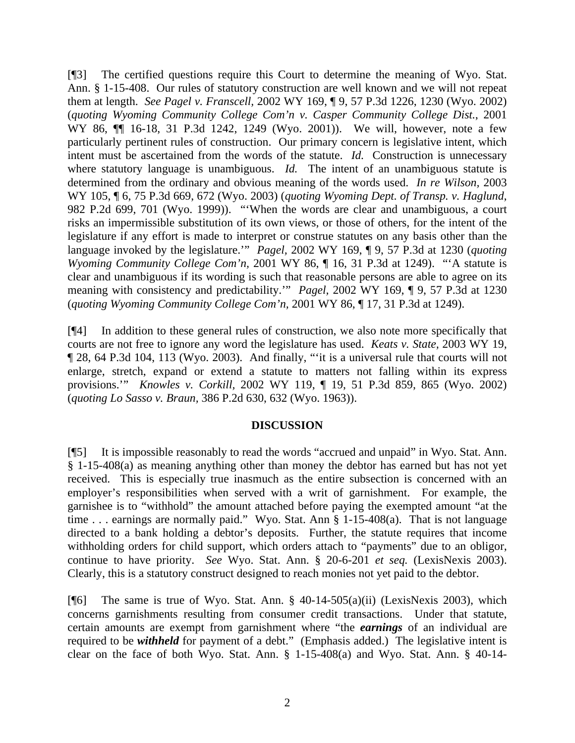[¶3] The certified questions require this Court to determine the meaning of Wyo. Stat. Ann. § 1-15-408. Our rules of statutory construction are well known and we will not repeat them at length. *See Pagel v. Franscell,* 2002 WY 169, ¶ 9, 57 P.3d 1226, 1230 (Wyo. 2002) (*quoting Wyoming Community College Com'n v. Casper Community College Dist.*, 2001 WY 86,  $\P$  16-18, 31 P.3d 1242, 1249 (Wyo. 2001)). We will, however, note a few particularly pertinent rules of construction. Our primary concern is legislative intent, which intent must be ascertained from the words of the statute. *Id.* Construction is unnecessary where statutory language is unambiguous. *Id*. The intent of an unambiguous statute is determined from the ordinary and obvious meaning of the words used. *In re Wilson,* 2003 WY 105, ¶ 6, 75 P.3d 669, 672 (Wyo. 2003) (*quoting Wyoming Dept. of Transp. v. Haglund*, 982 P.2d 699, 701 (Wyo. 1999)). "'When the words are clear and unambiguous, a court risks an impermissible substitution of its own views, or those of others, for the intent of the legislature if any effort is made to interpret or construe statutes on any basis other than the language invoked by the legislature.'" *Pagel,* 2002 WY 169, ¶ 9, 57 P.3d at 1230 (*quoting Wyoming Community College Com'n,* 2001 WY 86, ¶ 16, 31 P.3d at 1249). "'A statute is clear and unambiguous if its wording is such that reasonable persons are able to agree on its meaning with consistency and predictability.'" *Pagel,* 2002 WY 169, ¶ 9, 57 P.3d at 1230 (*quoting Wyoming Community College Com'n,* 2001 WY 86, ¶ 17, 31 P.3d at 1249).

[¶4] In addition to these general rules of construction, we also note more specifically that courts are not free to ignore any word the legislature has used. *Keats v. State,* 2003 WY 19, ¶ 28, 64 P.3d 104, 113 (Wyo. 2003). And finally, "'it is a universal rule that courts will not enlarge, stretch, expand or extend a statute to matters not falling within its express provisions.'" *Knowles v. Corkill,* 2002 WY 119, ¶ 19, 51 P.3d 859, 865 (Wyo. 2002) (*quoting Lo Sasso v. Braun,* 386 P.2d 630, 632 (Wyo. 1963)).

#### **DISCUSSION**

[¶5] It is impossible reasonably to read the words "accrued and unpaid" in Wyo. Stat. Ann. § 1-15-408(a) as meaning anything other than money the debtor has earned but has not yet received. This is especially true inasmuch as the entire subsection is concerned with an employer's responsibilities when served with a writ of garnishment. For example, the garnishee is to "withhold" the amount attached before paying the exempted amount "at the time . . . earnings are normally paid." Wyo. Stat. Ann § 1-15-408(a). That is not language directed to a bank holding a debtor's deposits. Further, the statute requires that income withholding orders for child support, which orders attach to "payments" due to an obligor, continue to have priority. *See* Wyo. Stat. Ann. § 20-6-201 *et seq.* (LexisNexis 2003). Clearly, this is a statutory construct designed to reach monies not yet paid to the debtor.

[ $[$ [6] The same is true of Wyo. Stat. Ann. § 40-14-505(a)(ii) (LexisNexis 2003), which concerns garnishments resulting from consumer credit transactions. Under that statute, certain amounts are exempt from garnishment where "the *earnings* of an individual are required to be *withheld* for payment of a debt." (Emphasis added.) The legislative intent is clear on the face of both Wyo. Stat. Ann. § 1-15-408(a) and Wyo. Stat. Ann. § 40-14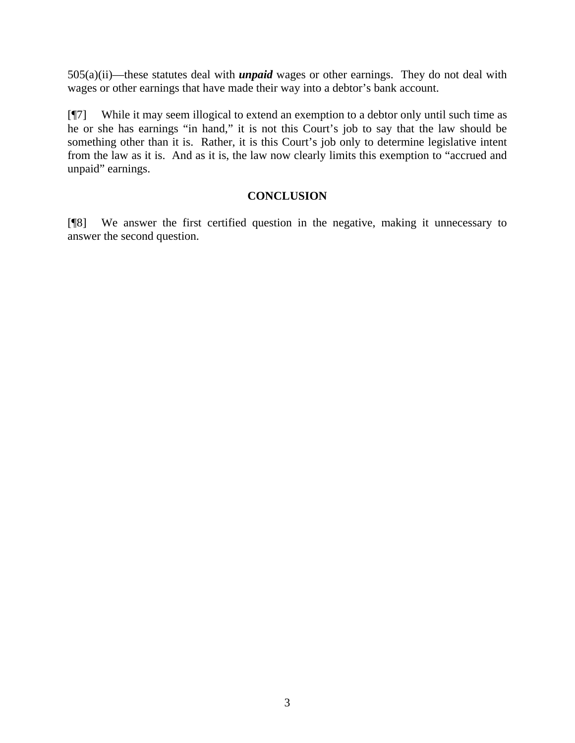505(a)(ii)—these statutes deal with *unpaid* wages or other earnings. They do not deal with wages or other earnings that have made their way into a debtor's bank account.

[¶7] While it may seem illogical to extend an exemption to a debtor only until such time as he or she has earnings "in hand," it is not this Court's job to say that the law should be something other than it is. Rather, it is this Court's job only to determine legislative intent from the law as it is. And as it is, the law now clearly limits this exemption to "accrued and unpaid" earnings.

# **CONCLUSION**

[¶8] We answer the first certified question in the negative, making it unnecessary to answer the second question.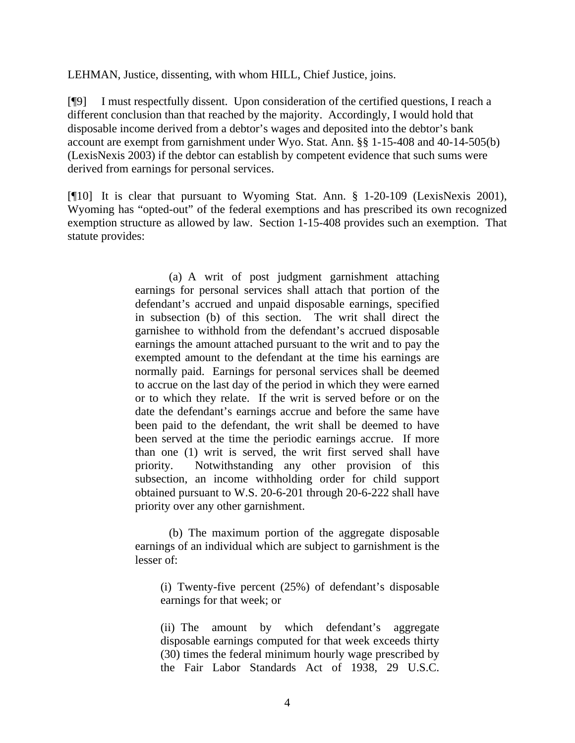LEHMAN, Justice, dissenting, with whom HILL, Chief Justice, joins.

[¶9] I must respectfully dissent. Upon consideration of the certified questions, I reach a different conclusion than that reached by the majority. Accordingly, I would hold that disposable income derived from a debtor's wages and deposited into the debtor's bank account are exempt from garnishment under Wyo. Stat. Ann. §§ 1-15-408 and 40-14-505(b) (LexisNexis 2003) if the debtor can establish by competent evidence that such sums were derived from earnings for personal services.

[¶10] It is clear that pursuant to Wyoming Stat. Ann. § 1-20-109 (LexisNexis 2001), Wyoming has "opted-out" of the federal exemptions and has prescribed its own recognized exemption structure as allowed by law. Section 1-15-408 provides such an exemption. That statute provides:

> (a) A writ of post judgment garnishment attaching earnings for personal services shall attach that portion of the defendant's accrued and unpaid disposable earnings, specified in subsection (b) of this section. The writ shall direct the garnishee to withhold from the defendant's accrued disposable earnings the amount attached pursuant to the writ and to pay the exempted amount to the defendant at the time his earnings are normally paid. Earnings for personal services shall be deemed to accrue on the last day of the period in which they were earned or to which they relate. If the writ is served before or on the date the defendant's earnings accrue and before the same have been paid to the defendant, the writ shall be deemed to have been served at the time the periodic earnings accrue. If more than one (1) writ is served, the writ first served shall have priority. Notwithstanding any other provision of this subsection, an income withholding order for child support obtained pursuant to W.S. 20-6-201 through 20-6-222 shall have priority over any other garnishment.

> (b) The maximum portion of the aggregate disposable earnings of an individual which are subject to garnishment is the lesser of:

(i) Twenty-five percent (25%) of defendant's disposable earnings for that week; or

(ii) The amount by which defendant's aggregate disposable earnings computed for that week exceeds thirty (30) times the federal minimum hourly wage prescribed by the Fair Labor Standards Act of 1938, 29 U.S.C.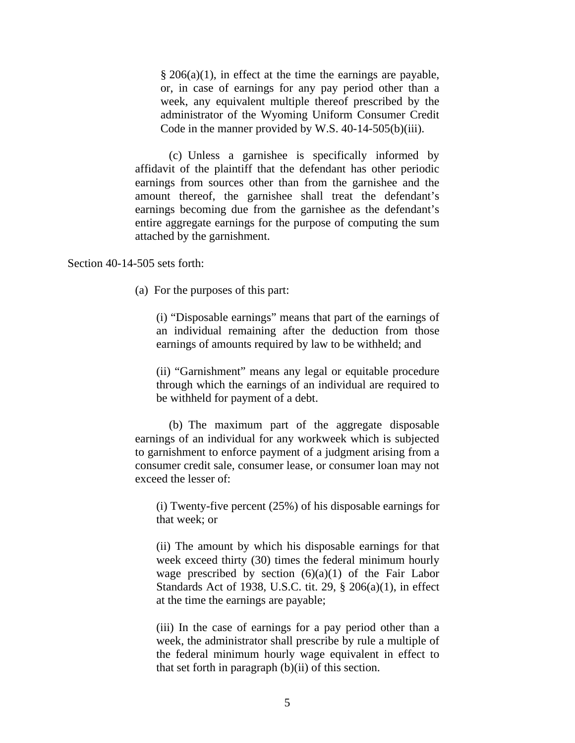$\S 206(a)(1)$ , in effect at the time the earnings are payable, or, in case of earnings for any pay period other than a week, any equivalent multiple thereof prescribed by the administrator of the Wyoming Uniform Consumer Credit Code in the manner provided by W.S. 40-14-505(b)(iii).

(c) Unless a garnishee is specifically informed by affidavit of the plaintiff that the defendant has other periodic earnings from sources other than from the garnishee and the amount thereof, the garnishee shall treat the defendant's earnings becoming due from the garnishee as the defendant's entire aggregate earnings for the purpose of computing the sum attached by the garnishment.

Section 40-14-505 sets forth:

(a) For the purposes of this part:

(i) "Disposable earnings" means that part of the earnings of an individual remaining after the deduction from those earnings of amounts required by law to be withheld; and

(ii) "Garnishment" means any legal or equitable procedure through which the earnings of an individual are required to be withheld for payment of a debt.

(b) The maximum part of the aggregate disposable earnings of an individual for any workweek which is subjected to garnishment to enforce payment of a judgment arising from a consumer credit sale, consumer lease, or consumer loan may not exceed the lesser of:

(i) Twenty-five percent (25%) of his disposable earnings for that week; or

(ii) The amount by which his disposable earnings for that week exceed thirty (30) times the federal minimum hourly wage prescribed by section  $(6)(a)(1)$  of the Fair Labor Standards Act of 1938, U.S.C. tit. 29, § 206(a)(1), in effect at the time the earnings are payable;

(iii) In the case of earnings for a pay period other than a week, the administrator shall prescribe by rule a multiple of the federal minimum hourly wage equivalent in effect to that set forth in paragraph  $(b)(ii)$  of this section.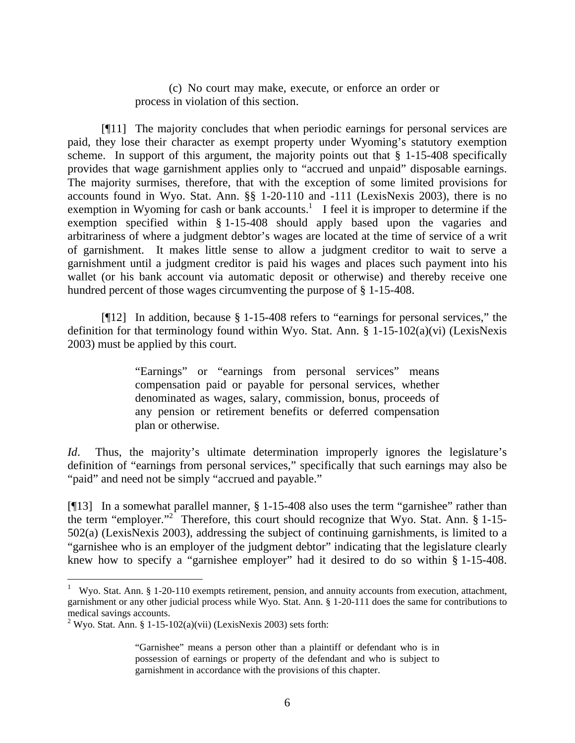(c) No court may make, execute, or enforce an order or process in violation of this section.

[¶11] The majority concludes that when periodic earnings for personal services are paid, they lose their character as exempt property under Wyoming's statutory exemption scheme. In support of this argument, the majority points out that  $\S$  1-15-408 specifically provides that wage garnishment applies only to "accrued and unpaid" disposable earnings. The majority surmises, therefore, that with the exception of some limited provisions for accounts found in Wyo. Stat. Ann. §§ 1-20-110 and -111 (LexisNexis 2003), there is no exemption in Wyoming for cash or bank accounts.<sup>1</sup> I feel it is improper to determine if the exemption specified within § 1-15-408 should apply based upon the vagaries and arbitrariness of where a judgment debtor's wages are located at the time of service of a writ of garnishment. It makes little sense to allow a judgment creditor to wait to serve a garnishment until a judgment creditor is paid his wages and places such payment into his wallet (or his bank account via automatic deposit or otherwise) and thereby receive one hundred percent of those wages circumventing the purpose of § 1-15-408.

[¶12] In addition, because § 1-15-408 refers to "earnings for personal services," the definition for that terminology found within Wyo. Stat. Ann. § 1-15-102(a)(vi) (LexisNexis 2003) must be applied by this court.

> "Earnings" or "earnings from personal services" means compensation paid or payable for personal services, whether denominated as wages, salary, commission, bonus, proceeds of any pension or retirement benefits or deferred compensation plan or otherwise.

*Id*. Thus, the majority's ultimate determination improperly ignores the legislature's definition of "earnings from personal services," specifically that such earnings may also be "paid" and need not be simply "accrued and payable."

[¶13] In a somewhat parallel manner, § 1-15-408 also uses the term "garnishee" rather than the term "employer."<sup>2</sup> Therefore, this court should recognize that Wyo. Stat. Ann. § 1-15-502(a) (LexisNexis 2003), addressing the subject of continuing garnishments, is limited to a "garnishee who is an employer of the judgment debtor" indicating that the legislature clearly knew how to specify a "garnishee employer" had it desired to do so within § 1-15-408.

<sup>&</sup>lt;sup>1</sup> Wyo. Stat. Ann. § 1-20-110 exempts retirement, pension, and annuity accounts from execution, attachment, garnishment or any other judicial process while Wyo. Stat. Ann. § 1-20-111 does the same for contributions to medical savings accounts.

<sup>&</sup>lt;sup>2</sup> Wyo. Stat. Ann. § 1-15-102(a)(vii) (LexisNexis 2003) sets forth:

<sup>&</sup>quot;Garnishee" means a person other than a plaintiff or defendant who is in possession of earnings or property of the defendant and who is subject to garnishment in accordance with the provisions of this chapter.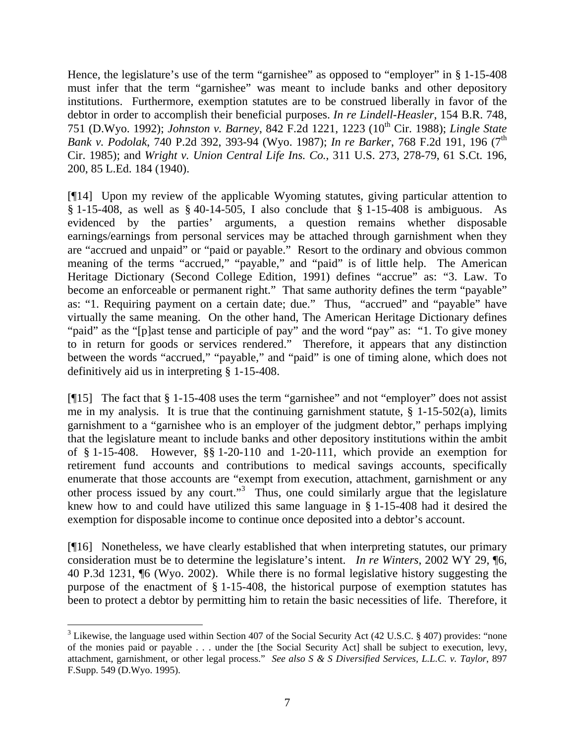Hence, the legislature's use of the term "garnishee" as opposed to "employer" in § 1-15-408 must infer that the term "garnishee" was meant to include banks and other depository institutions. Furthermore, exemption statutes are to be construed liberally in favor of the debtor in order to accomplish their beneficial purposes. *In re Lindell-Heasler*, 154 B.R. 748, 751 (D.Wyo. 1992); *Johnston v. Barney*, 842 F.2d 1221, 1223 (10<sup>th</sup> Cir. 1988); *Lingle State Bank v. Podolak*, 740 P.2d 392, 393-94 (Wyo. 1987); *In re Barker*, 768 F.2d 191, 196 (7th Cir. 1985); and *Wright v. Union Central Life Ins. Co.*, 311 U.S. 273, 278-79, 61 S.Ct. 196, 200, 85 L.Ed. 184 (1940).

[¶14] Upon my review of the applicable Wyoming statutes, giving particular attention to § 1-15-408, as well as § 40-14-505, I also conclude that § 1-15-408 is ambiguous. As evidenced by the parties' arguments, a question remains whether disposable earnings/earnings from personal services may be attached through garnishment when they are "accrued and unpaid" or "paid or payable." Resort to the ordinary and obvious common meaning of the terms "accrued," "payable," and "paid" is of little help. The American Heritage Dictionary (Second College Edition, 1991) defines "accrue" as: "3. Law. To become an enforceable or permanent right." That same authority defines the term "payable" as: "1. Requiring payment on a certain date; due." Thus, "accrued" and "payable" have virtually the same meaning. On the other hand, The American Heritage Dictionary defines "paid" as the "[p]ast tense and participle of pay" and the word "pay" as: "1. To give money to in return for goods or services rendered." Therefore, it appears that any distinction between the words "accrued," "payable," and "paid" is one of timing alone, which does not definitively aid us in interpreting § 1-15-408.

[¶15] The fact that § 1-15-408 uses the term "garnishee" and not "employer" does not assist me in my analysis. It is true that the continuing garnishment statute,  $\S$  1-15-502(a), limits garnishment to a "garnishee who is an employer of the judgment debtor," perhaps implying that the legislature meant to include banks and other depository institutions within the ambit of § 1-15-408. However, §§ 1-20-110 and 1-20-111, which provide an exemption for retirement fund accounts and contributions to medical savings accounts, specifically enumerate that those accounts are "exempt from execution, attachment, garnishment or any other process issued by any court."<sup>3</sup> Thus, one could similarly argue that the legislature knew how to and could have utilized this same language in § 1-15-408 had it desired the exemption for disposable income to continue once deposited into a debtor's account.

[¶16] Nonetheless, we have clearly established that when interpreting statutes, our primary consideration must be to determine the legislature's intent. *In re Winters*, 2002 WY 29, ¶6, 40 P.3d 1231, ¶6 (Wyo. 2002). While there is no formal legislative history suggesting the purpose of the enactment of § 1-15-408, the historical purpose of exemption statutes has been to protect a debtor by permitting him to retain the basic necessities of life. Therefore, it

 $\overline{a}$ 

 $3$  Likewise, the language used within Section 407 of the Social Security Act (42 U.S.C.  $\S$  407) provides: "none of the monies paid or payable . . . under the [the Social Security Act] shall be subject to execution, levy, attachment, garnishment, or other legal process." *See also S & S Diversified Services, L.L.C. v. Taylor*, 897 F.Supp. 549 (D.Wyo. 1995).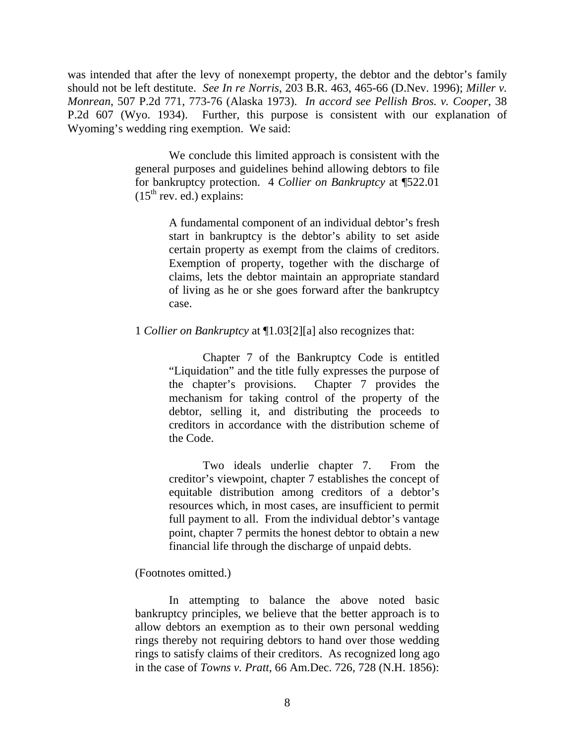was intended that after the levy of nonexempt property, the debtor and the debtor's family should not be left destitute. *See In re Norris*, 203 B.R. 463, 465-66 (D.Nev. 1996); *Miller v. Monrean*, 507 P.2d 771, 773-76 (Alaska 1973). *In accord see Pellish Bros. v. Cooper*, 38 P.2d 607 (Wyo. 1934). Further, this purpose is consistent with our explanation of Wyoming's wedding ring exemption. We said:

> We conclude this limited approach is consistent with the general purposes and guidelines behind allowing debtors to file for bankruptcy protection. 4 *Collier on Bankruptcy* at ¶522.01  $(15<sup>th</sup>$  rev. ed.) explains:

> > A fundamental component of an individual debtor's fresh start in bankruptcy is the debtor's ability to set aside certain property as exempt from the claims of creditors. Exemption of property, together with the discharge of claims, lets the debtor maintain an appropriate standard of living as he or she goes forward after the bankruptcy case.

1 *Collier on Bankruptcy* at ¶1.03[2][a] also recognizes that:

Chapter 7 of the Bankruptcy Code is entitled "Liquidation" and the title fully expresses the purpose of the chapter's provisions. Chapter 7 provides the mechanism for taking control of the property of the debtor, selling it, and distributing the proceeds to creditors in accordance with the distribution scheme of the Code.

Two ideals underlie chapter 7. From the creditor's viewpoint, chapter 7 establishes the concept of equitable distribution among creditors of a debtor's resources which, in most cases, are insufficient to permit full payment to all. From the individual debtor's vantage point, chapter 7 permits the honest debtor to obtain a new financial life through the discharge of unpaid debts.

### (Footnotes omitted.)

In attempting to balance the above noted basic bankruptcy principles, we believe that the better approach is to allow debtors an exemption as to their own personal wedding rings thereby not requiring debtors to hand over those wedding rings to satisfy claims of their creditors. As recognized long ago in the case of *Towns v. Pratt*, 66 Am.Dec. 726, 728 (N.H. 1856):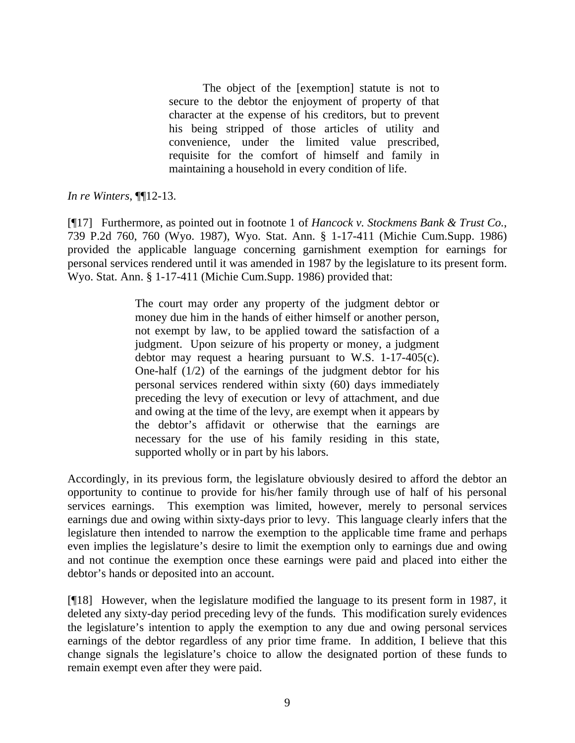The object of the [exemption] statute is not to secure to the debtor the enjoyment of property of that character at the expense of his creditors, but to prevent his being stripped of those articles of utility and convenience, under the limited value prescribed, requisite for the comfort of himself and family in maintaining a household in every condition of life.

*In re Winters*, ¶¶12-13.

[¶17] Furthermore, as pointed out in footnote 1 of *Hancock v. Stockmens Bank & Trust Co.*, 739 P.2d 760, 760 (Wyo. 1987), Wyo. Stat. Ann. § 1-17-411 (Michie Cum.Supp. 1986) provided the applicable language concerning garnishment exemption for earnings for personal services rendered until it was amended in 1987 by the legislature to its present form. Wyo. Stat. Ann. § 1-17-411 (Michie Cum.Supp. 1986) provided that:

> The court may order any property of the judgment debtor or money due him in the hands of either himself or another person, not exempt by law, to be applied toward the satisfaction of a judgment. Upon seizure of his property or money, a judgment debtor may request a hearing pursuant to W.S. 1-17-405(c). One-half (1/2) of the earnings of the judgment debtor for his personal services rendered within sixty (60) days immediately preceding the levy of execution or levy of attachment, and due and owing at the time of the levy, are exempt when it appears by the debtor's affidavit or otherwise that the earnings are necessary for the use of his family residing in this state, supported wholly or in part by his labors.

Accordingly, in its previous form, the legislature obviously desired to afford the debtor an opportunity to continue to provide for his/her family through use of half of his personal services earnings. This exemption was limited, however, merely to personal services earnings due and owing within sixty-days prior to levy. This language clearly infers that the legislature then intended to narrow the exemption to the applicable time frame and perhaps even implies the legislature's desire to limit the exemption only to earnings due and owing and not continue the exemption once these earnings were paid and placed into either the debtor's hands or deposited into an account.

[¶18] However, when the legislature modified the language to its present form in 1987, it deleted any sixty-day period preceding levy of the funds. This modification surely evidences the legislature's intention to apply the exemption to any due and owing personal services earnings of the debtor regardless of any prior time frame. In addition, I believe that this change signals the legislature's choice to allow the designated portion of these funds to remain exempt even after they were paid.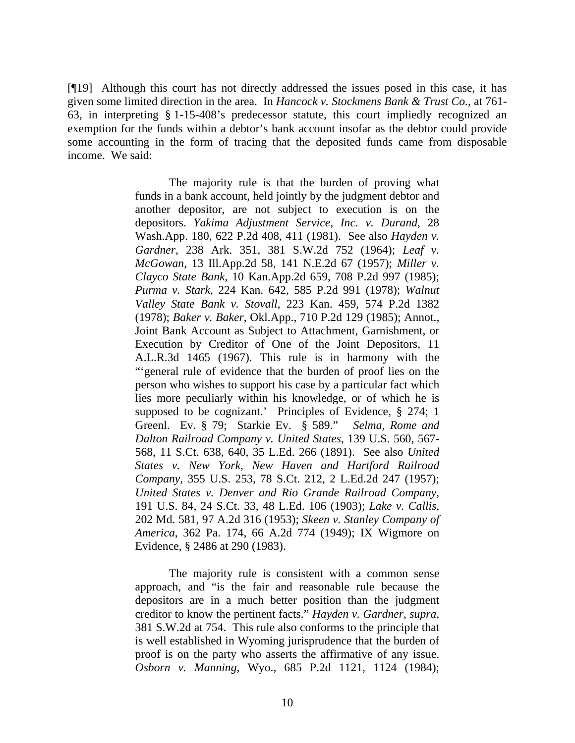[¶19] Although this court has not directly addressed the issues posed in this case, it has given some limited direction in the area. In *Hancock v. Stockmens Bank & Trust Co.*, at 761- 63, in interpreting § 1-15-408's predecessor statute, this court impliedly recognized an exemption for the funds within a debtor's bank account insofar as the debtor could provide some accounting in the form of tracing that the deposited funds came from disposable income. We said:

> The majority rule is that the burden of proving what funds in a bank account, held jointly by the judgment debtor and another depositor, are not subject to execution is on the depositors. *Yakima Adjustment Service, Inc. v. Durand*, 28 Wash.App. 180, 622 P.2d 408, 411 (1981). See also *Hayden v. Gardner*, 238 Ark. 351, 381 S.W.2d 752 (1964); *Leaf v. McGowan*, 13 Ill.App.2d 58, 141 N.E.2d 67 (1957); *Miller v. Clayco State Bank*, 10 Kan.App.2d 659, 708 P.2d 997 (1985); *Purma v. Stark*, 224 Kan. 642, 585 P.2d 991 (1978); *Walnut Valley State Bank v. Stovall*, 223 Kan. 459, 574 P.2d 1382 (1978); *Baker v. Baker*, Okl.App., 710 P.2d 129 (1985); Annot., Joint Bank Account as Subject to Attachment, Garnishment, or Execution by Creditor of One of the Joint Depositors, 11 A.L.R.3d 1465 (1967). This rule is in harmony with the "'general rule of evidence that the burden of proof lies on the person who wishes to support his case by a particular fact which lies more peculiarly within his knowledge, or of which he is supposed to be cognizant.' Principles of Evidence, § 274; 1 Greenl. Ev. § 79; Starkie Ev. § 589." *Selma, Rome and Dalton Railroad Company v. United States*, 139 U.S. 560, 567- 568, 11 S.Ct. 638, 640, 35 L.Ed. 266 (1891). See also *United States v. New York, New Haven and Hartford Railroad Company*, 355 U.S. 253, 78 S.Ct. 212, 2 L.Ed.2d 247 (1957); *United States v. Denver and Rio Grande Railroad Company*, 191 U.S. 84, 24 S.Ct. 33, 48 L.Ed. 106 (1903); *Lake v. Callis*, 202 Md. 581, 97 A.2d 316 (1953); *Skeen v. Stanley Company of America*, 362 Pa. 174, 66 A.2d 774 (1949); IX Wigmore on Evidence, § 2486 at 290 (1983).

> The majority rule is consistent with a common sense approach, and "is the fair and reasonable rule because the depositors are in a much better position than the judgment creditor to know the pertinent facts." *Hayden v. Gardner*, *supra*, 381 S.W.2d at 754. This rule also conforms to the principle that is well established in Wyoming jurisprudence that the burden of proof is on the party who asserts the affirmative of any issue. *Osborn v. Manning*, Wyo., 685 P.2d 1121, 1124 (1984);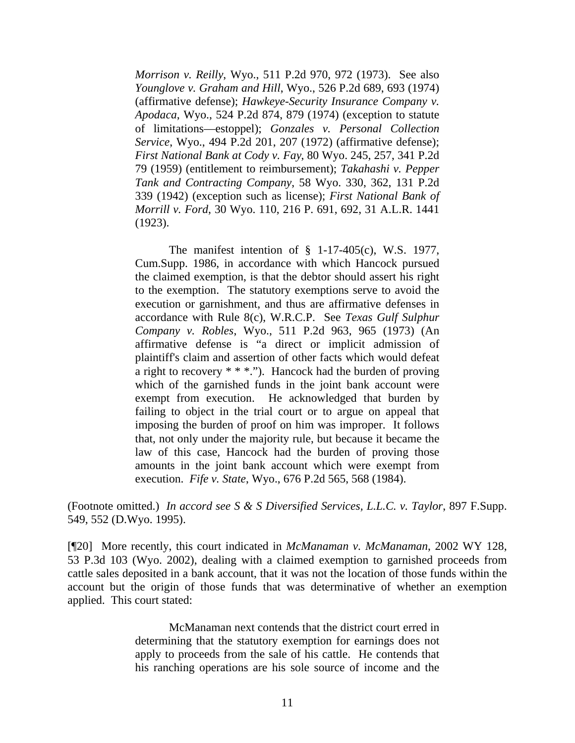*Morrison v. Reilly*, Wyo., 511 P.2d 970, 972 (1973). See also *Younglove v. Graham and Hill*, Wyo., 526 P.2d 689, 693 (1974) (affirmative defense); *Hawkeye-Security Insurance Company v. Apodaca*, Wyo., 524 P.2d 874, 879 (1974) (exception to statute of limitations—estoppel); *Gonzales v. Personal Collection Service*, Wyo., 494 P.2d 201, 207 (1972) (affirmative defense); *First National Bank at Cody v. Fay*, 80 Wyo. 245, 257, 341 P.2d 79 (1959) (entitlement to reimbursement); *Takahashi v. Pepper Tank and Contracting Company*, 58 Wyo. 330, 362, 131 P.2d 339 (1942) (exception such as license); *First National Bank of Morrill v. Ford*, 30 Wyo. 110, 216 P. 691, 692, 31 A.L.R. 1441 (1923).

The manifest intention of § 1-17-405(c), W.S. 1977, Cum.Supp. 1986, in accordance with which Hancock pursued the claimed exemption, is that the debtor should assert his right to the exemption. The statutory exemptions serve to avoid the execution or garnishment, and thus are affirmative defenses in accordance with Rule 8(c), W.R.C.P. See *Texas Gulf Sulphur Company v. Robles*, Wyo., 511 P.2d 963, 965 (1973) (An affirmative defense is "a direct or implicit admission of plaintiff's claim and assertion of other facts which would defeat a right to recovery \* \* \*."). Hancock had the burden of proving which of the garnished funds in the joint bank account were exempt from execution. He acknowledged that burden by failing to object in the trial court or to argue on appeal that imposing the burden of proof on him was improper. It follows that, not only under the majority rule, but because it became the law of this case, Hancock had the burden of proving those amounts in the joint bank account which were exempt from execution. *Fife v. State*, Wyo., 676 P.2d 565, 568 (1984).

(Footnote omitted.) *In accord see S & S Diversified Services, L.L.C. v. Taylor*, 897 F.Supp. 549, 552 (D.Wyo. 1995).

[¶20] More recently, this court indicated in *McManaman v. McManaman*, 2002 WY 128, 53 P.3d 103 (Wyo. 2002), dealing with a claimed exemption to garnished proceeds from cattle sales deposited in a bank account, that it was not the location of those funds within the account but the origin of those funds that was determinative of whether an exemption applied. This court stated:

> McManaman next contends that the district court erred in determining that the statutory exemption for earnings does not apply to proceeds from the sale of his cattle. He contends that his ranching operations are his sole source of income and the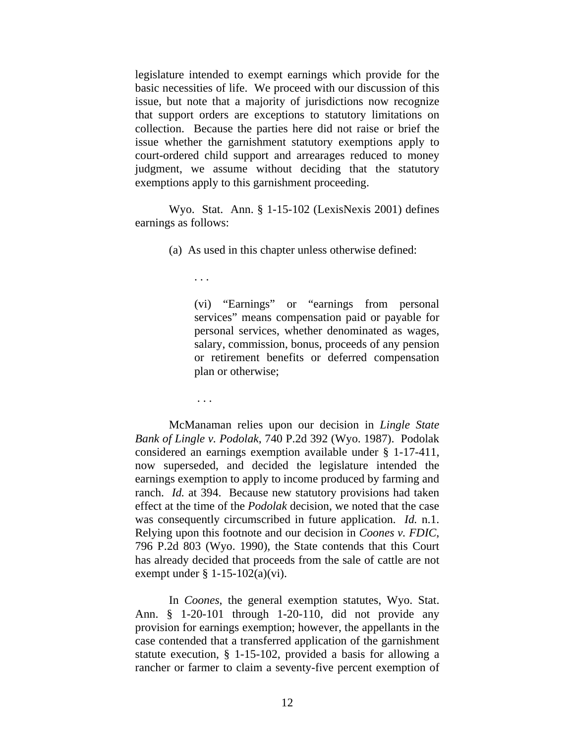legislature intended to exempt earnings which provide for the basic necessities of life. We proceed with our discussion of this issue, but note that a majority of jurisdictions now recognize that support orders are exceptions to statutory limitations on collection. Because the parties here did not raise or brief the issue whether the garnishment statutory exemptions apply to court-ordered child support and arrearages reduced to money judgment, we assume without deciding that the statutory exemptions apply to this garnishment proceeding.

Wyo. Stat. Ann. § 1-15-102 (LexisNexis 2001) defines earnings as follows:

(a) As used in this chapter unless otherwise defined:

. . .

(vi) "Earnings" or "earnings from personal services" means compensation paid or payable for personal services, whether denominated as wages, salary, commission, bonus, proceeds of any pension or retirement benefits or deferred compensation plan or otherwise;

. . .

McManaman relies upon our decision in *Lingle State Bank of Lingle v. Podolak*, 740 P.2d 392 (Wyo. 1987). Podolak considered an earnings exemption available under § 1-17-411, now superseded, and decided the legislature intended the earnings exemption to apply to income produced by farming and ranch. *Id.* at 394. Because new statutory provisions had taken effect at the time of the *Podolak* decision, we noted that the case was consequently circumscribed in future application. *Id.* n.1. Relying upon this footnote and our decision in *Coones v. FDIC*, 796 P.2d 803 (Wyo. 1990), the State contends that this Court has already decided that proceeds from the sale of cattle are not exempt under  $\S 1-15-102(a)(vi)$ .

 In *Coones*, the general exemption statutes, Wyo. Stat. Ann. § 1-20-101 through 1-20-110, did not provide any provision for earnings exemption; however, the appellants in the case contended that a transferred application of the garnishment statute execution, § 1-15-102, provided a basis for allowing a rancher or farmer to claim a seventy-five percent exemption of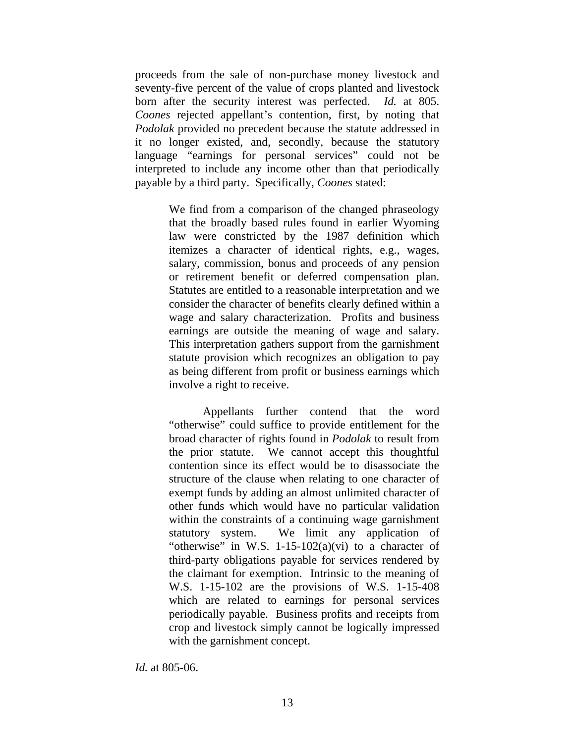proceeds from the sale of non-purchase money livestock and seventy-five percent of the value of crops planted and livestock born after the security interest was perfected. *Id.* at 805. *Coones* rejected appellant's contention, first, by noting that *Podolak* provided no precedent because the statute addressed in it no longer existed, and, secondly, because the statutory language "earnings for personal services" could not be interpreted to include any income other than that periodically payable by a third party. Specifically, *Coones* stated:

> We find from a comparison of the changed phraseology that the broadly based rules found in earlier Wyoming law were constricted by the 1987 definition which itemizes a character of identical rights, e.g., wages, salary, commission, bonus and proceeds of any pension or retirement benefit or deferred compensation plan. Statutes are entitled to a reasonable interpretation and we consider the character of benefits clearly defined within a wage and salary characterization. Profits and business earnings are outside the meaning of wage and salary. This interpretation gathers support from the garnishment statute provision which recognizes an obligation to pay as being different from profit or business earnings which involve a right to receive.

> Appellants further contend that the word "otherwise" could suffice to provide entitlement for the broad character of rights found in *Podolak* to result from the prior statute. We cannot accept this thoughtful contention since its effect would be to disassociate the structure of the clause when relating to one character of exempt funds by adding an almost unlimited character of other funds which would have no particular validation within the constraints of a continuing wage garnishment statutory system. We limit any application of "otherwise" in W.S. 1-15-102(a)(vi) to a character of third-party obligations payable for services rendered by the claimant for exemption. Intrinsic to the meaning of W.S. 1-15-102 are the provisions of W.S. 1-15-408 which are related to earnings for personal services periodically payable. Business profits and receipts from crop and livestock simply cannot be logically impressed with the garnishment concept.

*Id.* at 805-06.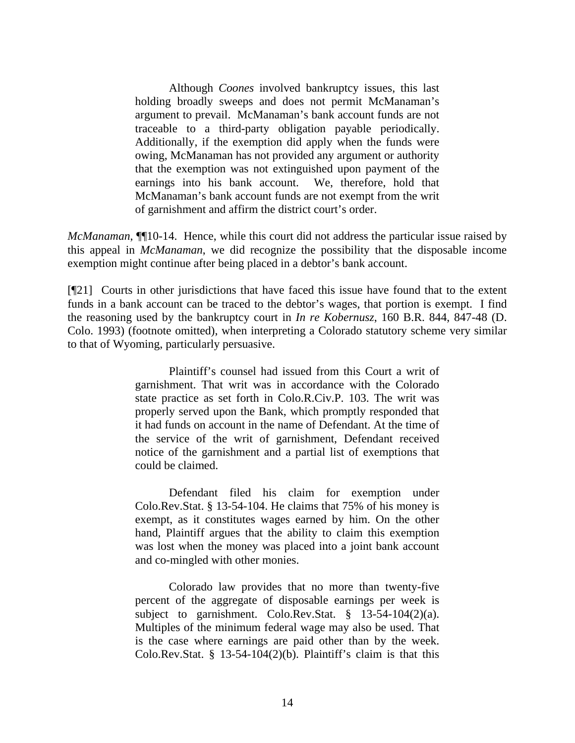Although *Coones* involved bankruptcy issues, this last holding broadly sweeps and does not permit McManaman's argument to prevail. McManaman's bank account funds are not traceable to a third-party obligation payable periodically. Additionally, if the exemption did apply when the funds were owing, McManaman has not provided any argument or authority that the exemption was not extinguished upon payment of the earnings into his bank account. We, therefore, hold that McManaman's bank account funds are not exempt from the writ of garnishment and affirm the district court's order.

*McManaman*, ¶¶10-14. Hence, while this court did not address the particular issue raised by this appeal in *McManaman*, we did recognize the possibility that the disposable income exemption might continue after being placed in a debtor's bank account.

[¶21] Courts in other jurisdictions that have faced this issue have found that to the extent funds in a bank account can be traced to the debtor's wages, that portion is exempt. I find the reasoning used by the bankruptcy court in *In re Kobernusz*, 160 B.R. 844, 847-48 (D. Colo. 1993) (footnote omitted), when interpreting a Colorado statutory scheme very similar to that of Wyoming, particularly persuasive.

> Plaintiff's counsel had issued from this Court a writ of garnishment. That writ was in accordance with the Colorado state practice as set forth in Colo.R.Civ.P. 103. The writ was properly served upon the Bank, which promptly responded that it had funds on account in the name of Defendant. At the time of the service of the writ of garnishment, Defendant received notice of the garnishment and a partial list of exemptions that could be claimed.

> Defendant filed his claim for exemption under Colo.Rev.Stat. § 13-54-104. He claims that 75% of his money is exempt, as it constitutes wages earned by him. On the other hand, Plaintiff argues that the ability to claim this exemption was lost when the money was placed into a joint bank account and co-mingled with other monies.

> Colorado law provides that no more than twenty-five percent of the aggregate of disposable earnings per week is subject to garnishment. Colo.Rev.Stat. § 13-54-104(2)(a). Multiples of the minimum federal wage may also be used. That is the case where earnings are paid other than by the week. Colo.Rev.Stat. § 13-54-104(2)(b). Plaintiff's claim is that this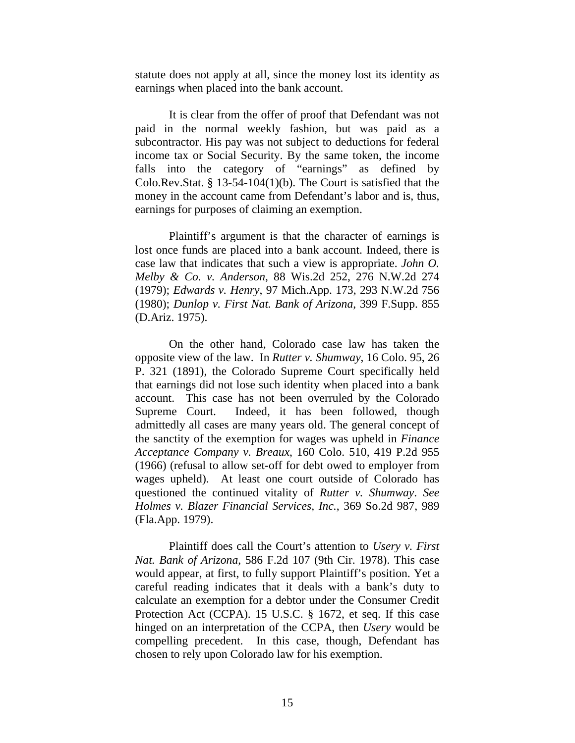statute does not apply at all, since the money lost its identity as earnings when placed into the bank account.

It is clear from the offer of proof that Defendant was not paid in the normal weekly fashion, but was paid as a subcontractor. His pay was not subject to deductions for federal income tax or Social Security. By the same token, the income falls into the category of "earnings" as defined by Colo.Rev.Stat. § 13-54-104(1)(b). The Court is satisfied that the money in the account came from Defendant's labor and is, thus, earnings for purposes of claiming an exemption.

Plaintiff's argument is that the character of earnings is lost once funds are placed into a bank account. Indeed, there is case law that indicates that such a view is appropriate. *John O. Melby & Co. v. Anderson*, 88 Wis.2d 252, 276 N.W.2d 274 (1979); *Edwards v. Henry*, 97 Mich.App. 173, 293 N.W.2d 756 (1980); *Dunlop v. First Nat. Bank of Arizona*, 399 F.Supp. 855 (D.Ariz. 1975).

On the other hand, Colorado case law has taken the opposite view of the law. In *Rutter v. Shumway*, 16 Colo. 95, 26 P. 321 (1891), the Colorado Supreme Court specifically held that earnings did not lose such identity when placed into a bank account. This case has not been overruled by the Colorado Supreme Court. Indeed, it has been followed, though admittedly all cases are many years old. The general concept of the sanctity of the exemption for wages was upheld in *Finance Acceptance Company v. Breaux*, 160 Colo. 510, 419 P.2d 955 (1966) (refusal to allow set-off for debt owed to employer from wages upheld). At least one court outside of Colorado has questioned the continued vitality of *Rutter v. Shumway*. *See Holmes v. Blazer Financial Services, Inc.*, 369 So.2d 987, 989 (Fla.App. 1979).

Plaintiff does call the Court's attention to *Usery v. First Nat. Bank of Arizona*, 586 F.2d 107 (9th Cir. 1978). This case would appear, at first, to fully support Plaintiff's position. Yet a careful reading indicates that it deals with a bank's duty to calculate an exemption for a debtor under the Consumer Credit Protection Act (CCPA). 15 U.S.C. § 1672, et seq. If this case hinged on an interpretation of the CCPA, then *Usery* would be compelling precedent. In this case, though, Defendant has chosen to rely upon Colorado law for his exemption.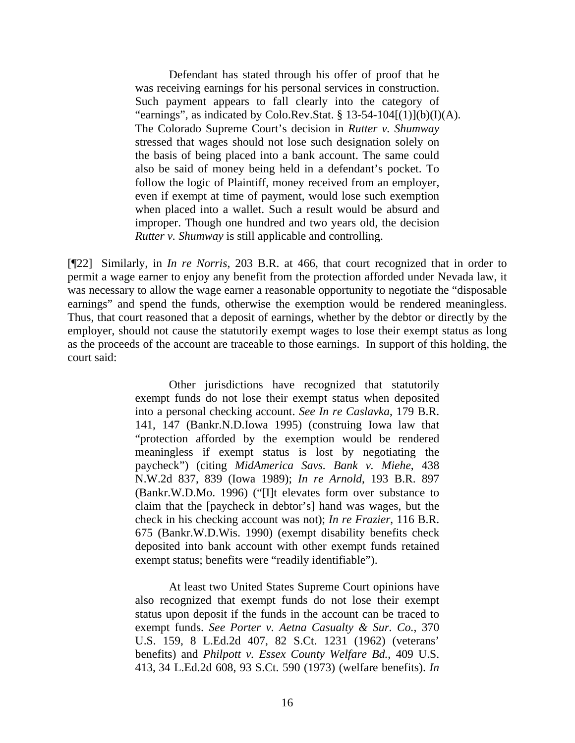Defendant has stated through his offer of proof that he was receiving earnings for his personal services in construction. Such payment appears to fall clearly into the category of "earnings", as indicated by Colo.Rev.Stat. §  $13-54-104[(1)](b)(I)(A)$ . The Colorado Supreme Court's decision in *Rutter v. Shumway* stressed that wages should not lose such designation solely on the basis of being placed into a bank account. The same could also be said of money being held in a defendant's pocket. To follow the logic of Plaintiff, money received from an employer, even if exempt at time of payment, would lose such exemption when placed into a wallet. Such a result would be absurd and improper. Though one hundred and two years old, the decision *Rutter v. Shumway* is still applicable and controlling.

[¶22] Similarly, in *In re Norris*, 203 B.R. at 466, that court recognized that in order to permit a wage earner to enjoy any benefit from the protection afforded under Nevada law, it was necessary to allow the wage earner a reasonable opportunity to negotiate the "disposable earnings" and spend the funds, otherwise the exemption would be rendered meaningless. Thus, that court reasoned that a deposit of earnings, whether by the debtor or directly by the employer, should not cause the statutorily exempt wages to lose their exempt status as long as the proceeds of the account are traceable to those earnings. In support of this holding, the court said:

> Other jurisdictions have recognized that statutorily exempt funds do not lose their exempt status when deposited into a personal checking account. *See In re Caslavka*, 179 B.R. 141, 147 (Bankr.N.D.Iowa 1995) (construing Iowa law that "protection afforded by the exemption would be rendered meaningless if exempt status is lost by negotiating the paycheck") (citing *MidAmerica Savs. Bank v. Miehe*, 438 N.W.2d 837, 839 (Iowa 1989); *In re Arnold*, 193 B.R. 897 (Bankr.W.D.Mo. 1996) ("[I]t elevates form over substance to claim that the [paycheck in debtor's] hand was wages, but the check in his checking account was not); *In re Frazier*, 116 B.R. 675 (Bankr.W.D.Wis. 1990) (exempt disability benefits check deposited into bank account with other exempt funds retained exempt status; benefits were "readily identifiable").

> At least two United States Supreme Court opinions have also recognized that exempt funds do not lose their exempt status upon deposit if the funds in the account can be traced to exempt funds. *See Porter v. Aetna Casualty & Sur. Co.*, 370 U.S. 159, 8 L.Ed.2d 407, 82 S.Ct. 1231 (1962) (veterans' benefits) and *Philpott v. Essex County Welfare Bd.*, 409 U.S. 413, 34 L.Ed.2d 608, 93 S.Ct. 590 (1973) (welfare benefits). *In*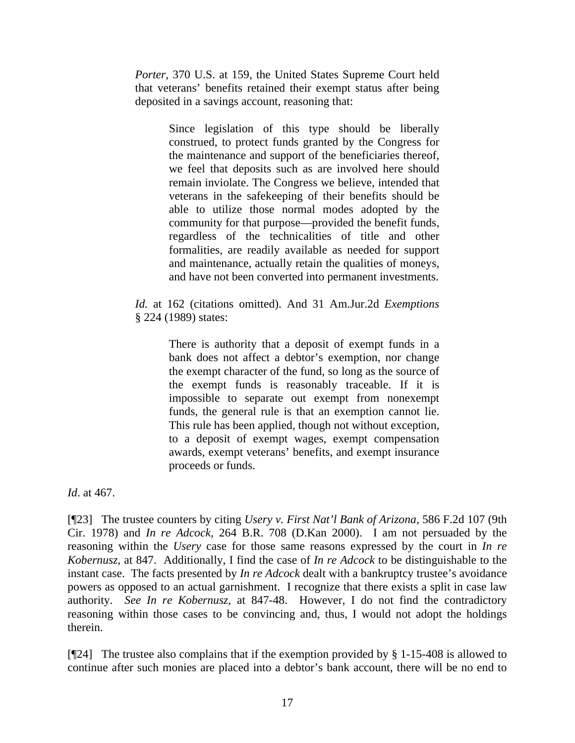*Porter*, 370 U.S. at 159, the United States Supreme Court held that veterans' benefits retained their exempt status after being deposited in a savings account, reasoning that:

> Since legislation of this type should be liberally construed, to protect funds granted by the Congress for the maintenance and support of the beneficiaries thereof, we feel that deposits such as are involved here should remain inviolate. The Congress we believe, intended that veterans in the safekeeping of their benefits should be able to utilize those normal modes adopted by the community for that purpose—provided the benefit funds, regardless of the technicalities of title and other formalities, are readily available as needed for support and maintenance, actually retain the qualities of moneys, and have not been converted into permanent investments.

*Id.* at 162 (citations omitted). And 31 Am.Jur.2d *Exemptions* § 224 (1989) states:

> There is authority that a deposit of exempt funds in a bank does not affect a debtor's exemption, nor change the exempt character of the fund, so long as the source of the exempt funds is reasonably traceable. If it is impossible to separate out exempt from nonexempt funds, the general rule is that an exemption cannot lie. This rule has been applied, though not without exception, to a deposit of exempt wages, exempt compensation awards, exempt veterans' benefits, and exempt insurance proceeds or funds.

*Id*. at 467.

[¶23] The trustee counters by citing *Usery v. First Nat'l Bank of Arizona*, 586 F.2d 107 (9th Cir. 1978) and *In re Adcock*, 264 B.R. 708 (D.Kan 2000). I am not persuaded by the reasoning within the *Usery* case for those same reasons expressed by the court in *In re Kobernusz*, at 847. Additionally, I find the case of *In re Adcock* to be distinguishable to the instant case. The facts presented by *In re Adcock* dealt with a bankruptcy trustee's avoidance powers as opposed to an actual garnishment. I recognize that there exists a split in case law authority. *See In re Kobernusz*, at 847-48. However, I do not find the contradictory reasoning within those cases to be convincing and, thus, I would not adopt the holdings therein.

[¶24] The trustee also complains that if the exemption provided by § 1-15-408 is allowed to continue after such monies are placed into a debtor's bank account, there will be no end to